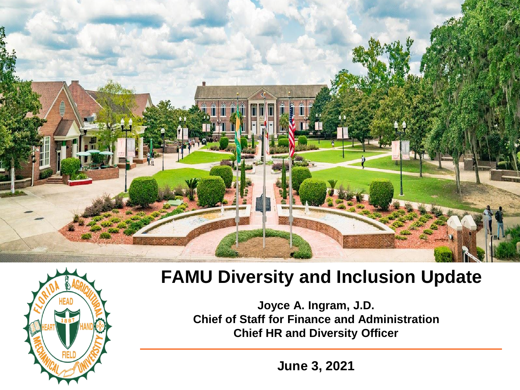



#### **FAMU Diversity and Inclusion Update**

**Joyce A. Ingram, J.D. Chief of Staff for Finance and Administration Chief HR and Diversity Officer**

**June 3, 2021**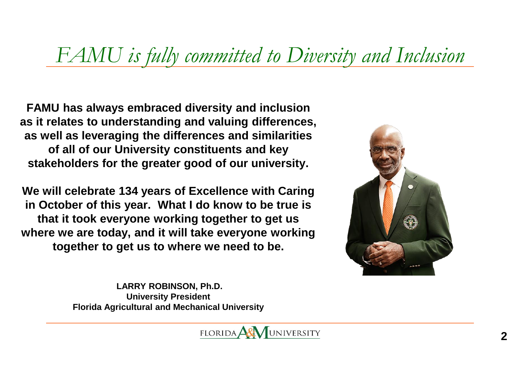#### *FAMU is fully committed to Diversity and Inclusion*

**FAMU has always embraced diversity and inclusion as it relates to understanding and valuing differences, as well as leveraging the differences and similarities of all of our University constituents and key stakeholders for the greater good of our university.** 

**We will celebrate 134 years of Excellence with Caring in October of this year. What I do know to be true is that it took everyone working together to get us where we are today, and it will take everyone working together to get us to where we need to be.** 



**LARRY ROBINSON, Ph.D. University President Florida Agricultural and Mechanical University**

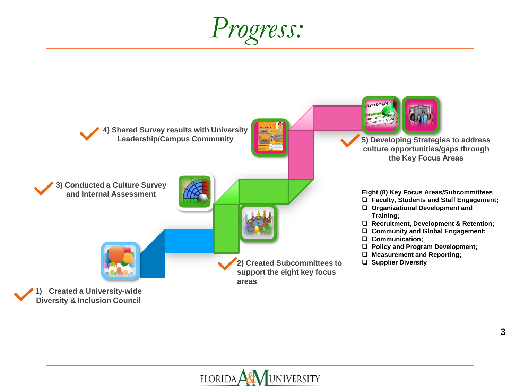*Progress:*



UNIVERSITY  $FLORIDA$ 

**3**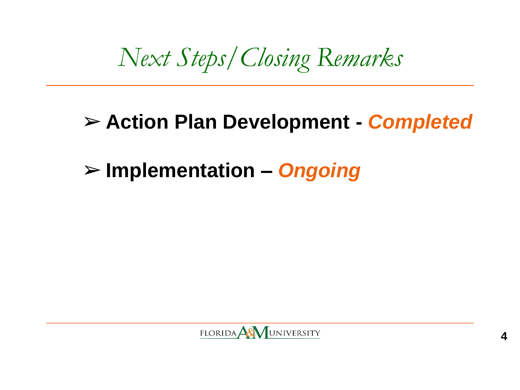*Next Steps/Closing Remarks*

#### ➢ **Action Plan Development -** *Completed*

#### ➢ **Implementation –** *Ongoing*

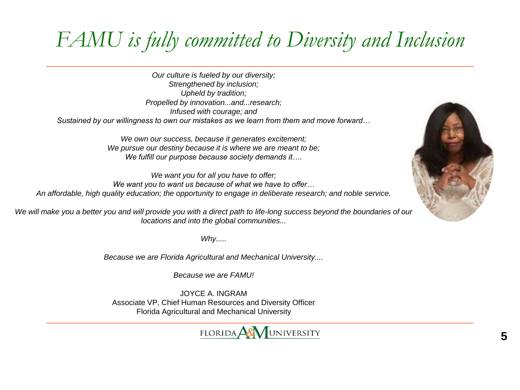### *FAMU is fully committed to Diversity and Inclusion*

*Our culture is fueled by our diversity; Strengthened by inclusion; Upheld by tradition; Propelled by innovation...and...research; Infused with courage; and Sustained by our willingness to own our mistakes as we learn from them and move forward…*

> *We own our success, because it generates excitement; We pursue our destiny because it is where we are meant to be; We fulfill our purpose because society demands it….*

*We want you for all you have to offer; We want you to want us because of what we have to offer… An affordable, high quality education; the opportunity to engage in deliberate research; and noble service.*

*We will make you a better you and will provide you with a direct path to life-long success beyond the boundaries of our locations and into the global communities...*

*Why.....*

*Because we are Florida Agricultural and Mechanical University....*

*Because we are FAMU!*

JOYCE A. INGRAM Associate VP, Chief Human Resources and Diversity Officer Florida Agricultural and Mechanical University



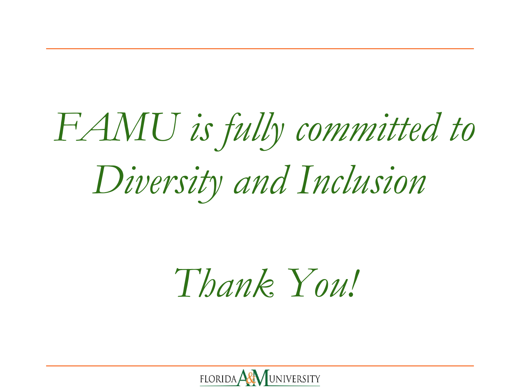# *FAMU is fully committed to Diversity and Inclusion*

## *Thank You!*